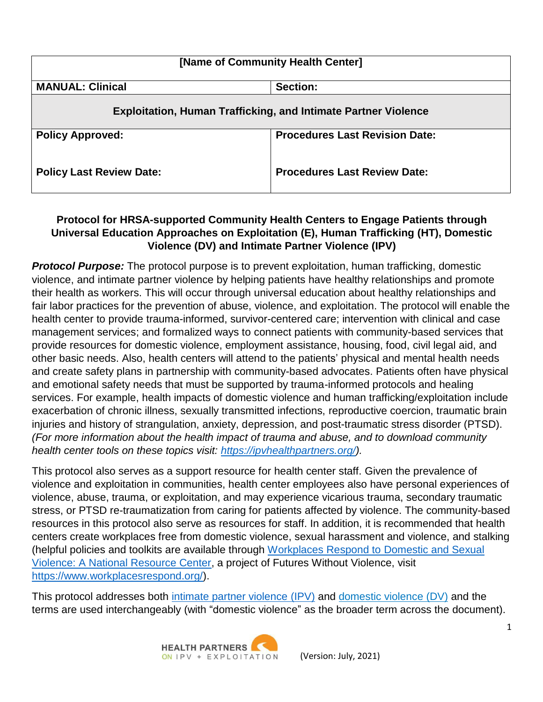| [Name of Community Health Center]                                     |                                       |  |
|-----------------------------------------------------------------------|---------------------------------------|--|
| <b>MANUAL: Clinical</b>                                               | Section:                              |  |
| <b>Exploitation, Human Trafficking, and Intimate Partner Violence</b> |                                       |  |
| <b>Policy Approved:</b>                                               | <b>Procedures Last Revision Date:</b> |  |
| <b>Policy Last Review Date:</b>                                       | <b>Procedures Last Review Date:</b>   |  |

## **Protocol for HRSA-supported Community Health Centers to Engage Patients through Universal Education Approaches on Exploitation (E), Human Trafficking (HT), Domestic Violence (DV) and Intimate Partner Violence (IPV)**

**Protocol Purpose:** The protocol purpose is to prevent exploitation, human trafficking, domestic violence, and intimate partner violence by helping patients have healthy relationships and promote their health as workers. This will occur through universal education about healthy relationships and fair labor practices for the prevention of abuse, violence, and exploitation. The protocol will enable the health center to provide trauma-informed, survivor-centered care; intervention with clinical and case management services; and formalized ways to connect patients with community-based services that provide resources for domestic violence, employment assistance, housing, food, civil legal aid, and other basic needs. Also, health centers will attend to the patients' physical and mental health needs and create safety plans in partnership with community-based advocates. Patients often have physical and emotional safety needs that must be supported by trauma-informed protocols and healing services. For example, health impacts of domestic violence and human trafficking/exploitation include exacerbation of chronic illness, sexually transmitted infections, reproductive coercion, traumatic brain injuries and history of strangulation, anxiety, depression, and post-traumatic stress disorder (PTSD). *(For more information about the health impact of trauma and abuse, and to download community health center tools on these topics visit: [https://ipvhealthpartners.org/\)](https://ipvhealthpartners.org/).*

This protocol also serves as a support resource for health center staff. Given the prevalence of violence and exploitation in communities, health center employees also have personal experiences of violence, abuse, trauma, or exploitation, and may experience vicarious trauma, secondary traumatic stress, or PTSD re-traumatization from caring for patients affected by violence. The community-based resources in this protocol also serve as resources for staff. In addition, it is recommended that health centers create workplaces free from domestic violence, sexual harassment and violence, and stalking (helpful policies and toolkits are available through [Workplaces Respond](https://www.workplacesrespond.org/) to Domestic and Sexual Violence: [A National Resource Center,](https://www.workplacesrespond.org/) a project of Futures Without Violence, visit [https://www.workplacesrespond.org/\)](https://www.workplacesrespond.org/).

This protocol addresses both intimate partner [violence](https://ipvhealthpartners.org/faqs/#intimate-partner-violence) (IPV) and domestic [violence \(DV\)](https://ipvhealthpartners.org/faqs/#domestic-violence) and the terms are used interchangeably (with "domestic violence" as the broader term across the document).

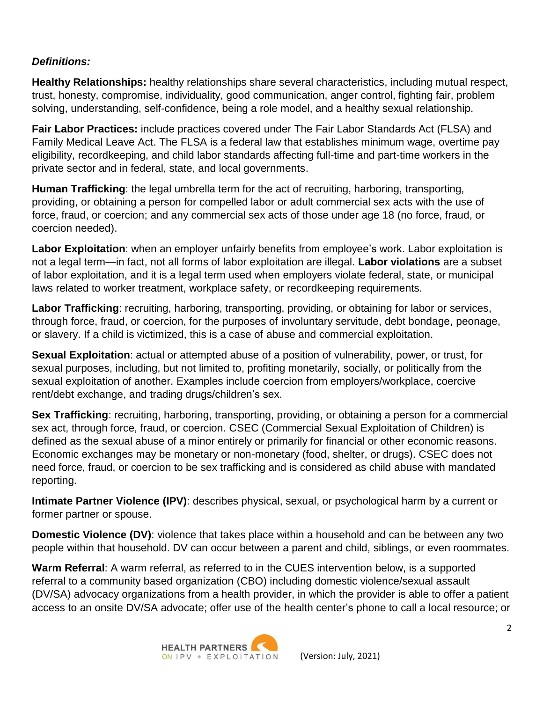#### *Definitions:*

**Healthy Relationships:** healthy relationships share several characteristics, including mutual respect, trust, honesty, compromise, individuality, good communication, anger control, fighting fair, problem solving, understanding, self-confidence, being a role model, and a healthy sexual relationship.

**Fair Labor Practices:** include practices covered under The Fair Labor Standards Act (FLSA) and Family Medical Leave Act. The FLSA is a federal law that establishes minimum wage, overtime pay eligibility, recordkeeping, and child labor standards affecting full-time and part-time workers in the private sector and in federal, state, and local governments.

**Human Trafficking**: the legal umbrella term for the act of recruiting, harboring, transporting, providing, or obtaining a person for compelled labor or adult commercial sex acts with the use of force, fraud, or coercion; and any commercial sex acts of those under age 18 (no force, fraud, or coercion needed).

**Labor Exploitation**: when an employer unfairly benefits from employee's work. Labor exploitation is not a legal term—in fact, not all forms of labor exploitation are illegal. **Labor violations** are a subset of labor exploitation, and it is a legal term used when employers violate federal, state, or municipal laws related to worker treatment, workplace safety, or recordkeeping requirements.

**Labor Trafficking**: recruiting, harboring, transporting, providing, or obtaining for labor or services, through force, fraud, or coercion, for the purposes of involuntary servitude, debt bondage, peonage, or slavery. If a child is victimized, this is a case of abuse and commercial exploitation.

**Sexual Exploitation**: actual or attempted abuse of a position of vulnerability, power, or trust, for sexual purposes, including, but not limited to, profiting monetarily, socially, or politically from the sexual exploitation of another. Examples include coercion from employers/workplace, coercive rent/debt exchange, and trading drugs/children's sex.

**Sex Trafficking**: recruiting, harboring, transporting, providing, or obtaining a person for a commercial sex act, through force, fraud, or coercion. CSEC (Commercial Sexual Exploitation of Children) is defined as the sexual abuse of a minor entirely or primarily for financial or other economic reasons. Economic exchanges may be monetary or non-monetary (food, shelter, or drugs). CSEC does not need force, fraud, or coercion to be sex trafficking and is considered as child abuse with mandated reporting.

**Intimate Partner Violence (IPV)**: describes physical, sexual, or psychological harm by a current or former partner or spouse.

**Domestic Violence (DV)**: violence that takes place within a household and can be between any two people within that household. DV can occur between a parent and child, siblings, or even roommates.

**Warm Referral**: A warm referral, as referred to in the CUES intervention below, is a supported referral to a community based organization (CBO) including domestic violence/sexual assault (DV/SA) advocacy organizations from a health provider, in which the provider is able to offer a patient access to an onsite DV/SA advocate; offer use of the health center's phone to call a local resource; or

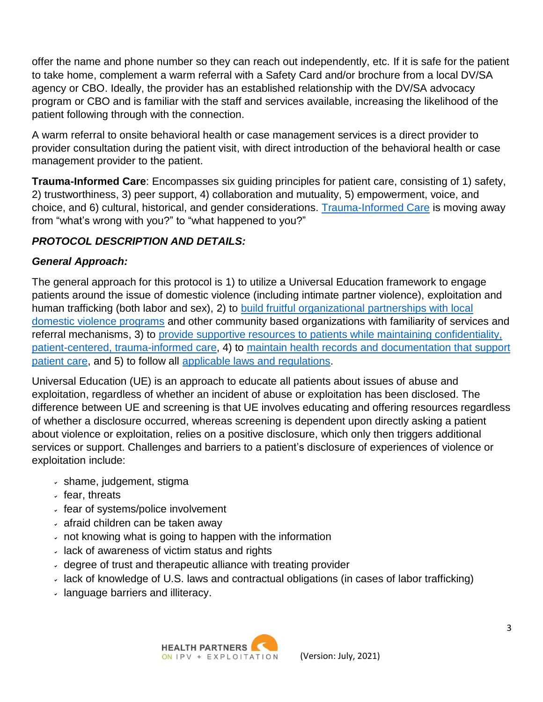offer the name and phone number so they can reach out independently, etc. If it is safe for the patient to take home, complement a warm referral with a Safety Card and/or brochure from a local DV/SA agency or CBO. Ideally, the provider has an established relationship with the DV/SA advocacy program or CBO and is familiar with the staff and services available, increasing the likelihood of the patient following through with the connection.

A warm referral to onsite behavioral health or case management services is a direct provider to provider consultation during the patient visit, with direct introduction of the behavioral health or case management provider to the patient.

**Trauma-Informed Care**: Encompasses six guiding principles for patient care, consisting of 1) safety, 2) trustworthiness, 3) peer support, 4) collaboration and mutuality, 5) empowerment, voice, and choice, and 6) cultural, historical, and gender considerations. [Trauma-Informed](https://ncsacw.samhsa.gov/userfiles/files/SAMHSA_Trauma.pdf) Care is moving away from "what's wrong with you?" to "what happened to you?"

# *PROTOCOL DESCRIPTION AND DETAILS:*

## *General Approach:*

The general approach for this protocol is 1) to utilize a Universal Education framework to engage patients around the issue of domestic violence (including intimate partner violence), exploitation and human trafficking (both labor and sex), 2) to build fruitful [organizational](https://ipvhealthpartners.org/partner/) partnerships with local [domestic violence](https://ipvhealthpartners.org/partner/) programs and other community based organizations with familiarity of services and referral mechanisms, 3) to provide supportive resources to patients while maintaining [confidentiality,](https://www.futureswithoutviolence.org/health/nationalhealthnetwork) [patient-centered,](https://www.futureswithoutviolence.org/health/nationalhealthnetwork) trauma-informed care, 4) to maintain health records and [documentation](https://hiteqcenter.org/Resources/HITEQ-Resources/ArtMID/718/ArticleID/1742/preview/true) that support [patient](https://hiteqcenter.org/Resources/HITEQ-Resources/ArtMID/718/ArticleID/1742/preview/true) care, and 5) to follow all applicable laws and [regulations.](https://www.futureswithoutviolence.org/compendium-of-state-statutes-and-policies-on-domestic-violence-and-health-care/)

Universal Education (UE) is an approach to educate all patients about issues of abuse and exploitation, regardless of whether an incident of abuse or exploitation has been disclosed. The difference between UE and screening is that UE involves educating and offering resources regardless of whether a disclosure occurred, whereas screening is dependent upon directly asking a patient about violence or exploitation, relies on a positive disclosure, which only then triggers additional services or support. Challenges and barriers to a patient's disclosure of experiences of violence or exploitation include:

- shame, judgement, stigma
- $\cdot$  fear, threats
- fear of systems/police involvement
- afraid children can be taken away
- not knowing what is going to happen with the information
- lack of awareness of victim status and rights
- degree of trust and therapeutic alliance with treating provider
- lack of knowledge of U.S. laws and contractual obligations (in cases of labor trafficking)
- language barriers and illiteracy.

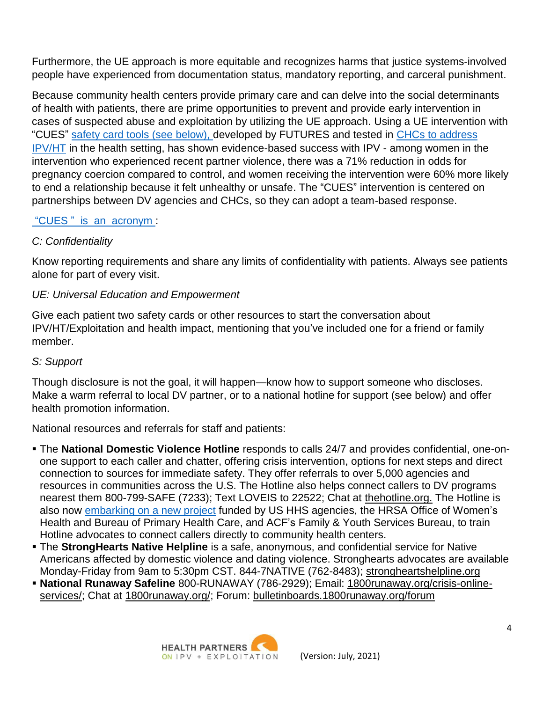Furthermore, the UE approach is more equitable and recognizes harms that justice systems-involved people have experienced from documentation status, mandatory reporting, and carceral punishment.

Because community health centers provide primary care and can delve into the social determinants of health with patients, there are prime opportunities to prevent and provide early intervention in cases of suspected abuse and exploitation by utilizing the UE approach. Using a UE intervention with "CUES" safety [card tools](https://store.futureswithoutviolence.org/) (see below), developed by FUTURES and tested in [CHCs to](https://ipvhealthpartners.org/wp-content/uploads/2021/01/CUES-graphic-1.12.21.pdf) address [IPV/HT](https://ipvhealthpartners.org/wp-content/uploads/2021/01/CUES-graphic-1.12.21.pdf) in the health setting, has shown evidence-based success with IPV - among women in the intervention who experienced recent partner violence, there was a 71% reduction in odds for pregnancy coercion compared to control, and women receiving the intervention were 60% more likely to end a relationship because it felt unhealthy or unsafe. The "CUES" intervention is centered on partnerships between DV agencies and CHCs, so they can adopt a team-based response.

### "CUES " is [an acronym :](https://ipvhealthpartners.org/wp-content/uploads/2021/01/CUES-graphic-1.12.21.pdf)

### *C: Confidentiality*

Know reporting requirements and share any limits of confidentiality with patients. Always see patients alone for part of every visit.

### *UE: Universal Education and Empowerment*

Give each patient two safety cards or other resources to start the conversation about IPV/HT/Exploitation and health impact, mentioning that you've included one for a friend or family member.

#### *S: Support*

Though disclosure is not the goal, it will happen—know how to support someone who discloses. Make a warm referral to local DV partner, or to a national hotline for support (see below) and offer health promotion information.

National resources and referrals for staff and patients:

- The **National Domestic Violence Hotline** responds to calls 24/7 and provides confidential, one-onone support to each caller and chatter, offering crisis intervention, options for next steps and direct connection to sources for immediate safety. They offer referrals to over 5,000 agencies and resources in communities across the U.S. The Hotline also helps connect callers to DV programs nearest them 800-799-SAFE (7233); Text LOVEIS to 22522; Chat at [thehotline.org.](https://www.thehotline.org/) The Hotline is also now [embarking](https://www.thehotline.org/get-help/healthcare/) on a new project funded by US HHS agencies, the HRSA Office of Women's Health and Bureau of Primary Health Care, and ACF's Family & Youth Services Bureau, to train Hotline advocates to connect callers directly to community health centers.
- The **StrongHearts Native Helpline** is a safe, anonymous, and confidential service for Native Americans affected by domestic violence and dating violence. Stronghearts advocates are available Monday-Friday from 9am to 5:30pm CST. 844-7NATIVE (762-8483); [strongheartshelpline.org](https://www.strongheartshelpline.org/)
- **National Runaway Safeline** 800-RUNAWAY (786-2929); Email: [1800runaway.org/crisis-online](https://www.1800runaway.org/crisis-online-services/)[services/;](https://www.1800runaway.org/crisis-online-services/) Chat at [1800runaway.org/;](https://www.1800runaway.org/) Forum: [bulletinboards.1800runaway.org/forum](https://bulletinboards.1800runaway.org/forum)

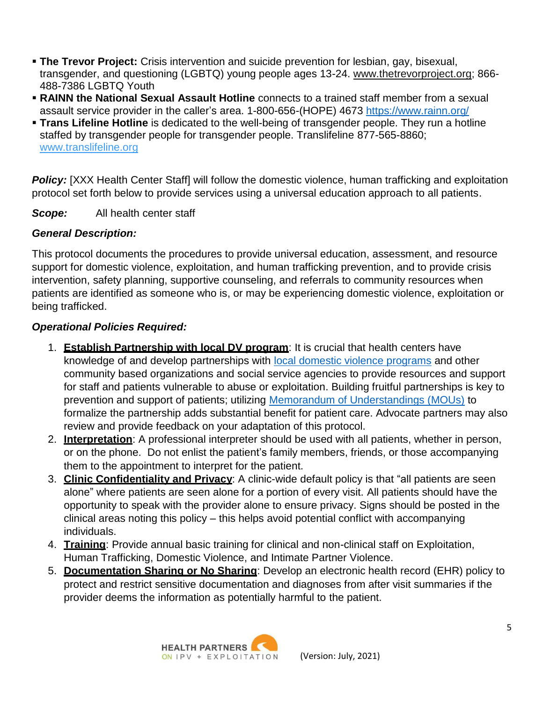- **The Trevor Project:** Crisis intervention and suicide prevention for lesbian, gay, bisexual, transgender, and questioning (LGBTQ) young people ages 13-24. [www.thetrevorproject.org;](http://www.thetrevorproject.org/) 866- 488-7386 LGBTQ Youth
- **RAINN the National Sexual Assault Hotline** connects to a trained staff member from a sexual assault service provider in the caller's area. 1-800-656-(HOPE) 4673<https://www.rainn.org/>
- **Trans Lifeline Hotline** is dedicated to the well-being of transgender people. They run a hotline staffed by transgender people for transgender people. Translifeline 877-565-8860; [www.translifeline.org](http://www.translifeline.org/)

**Policy:** [XXX Health Center Staff] will follow the domestic violence, human trafficking and exploitation protocol set forth below to provide services using a universal education approach to all patients.

*Scope:* All health center staff

#### *General Description:*

This protocol documents the procedures to provide universal education, assessment, and resource support for domestic violence, exploitation, and human trafficking prevention, and to provide crisis intervention, safety planning, supportive counseling, and referrals to community resources when patients are identified as someone who is, or may be experiencing domestic violence, exploitation or being trafficked.

#### *Operational Policies Required:*

- 1. **Establish Partnership with local DV program**: It is crucial that health centers have knowledge of and develop partnerships with [local domestic violence](https://nnedv.org/content/state-u-s-territory-coalitions/) programs and other community based organizations and social service agencies to provide resources and support for staff and patients vulnerable to abuse or exploitation. Building fruitful partnerships is key to prevention and support of patients; utilizing Memorandum of [Understandings \(MOUs\)](https://ipvhealthpartners.org/partner/) to formalize the partnership adds substantial benefit for patient care. Advocate partners may also review and provide feedback on your adaptation of this protocol.
- 2. **Interpretation**: A professional interpreter should be used with all patients, whether in person, or on the phone. Do not enlist the patient's family members, friends, or those accompanying them to the appointment to interpret for the patient.
- 3. **Clinic Confidentiality and Privacy**: A clinic-wide default policy is that "all patients are seen alone" where patients are seen alone for a portion of every visit. All patients should have the opportunity to speak with the provider alone to ensure privacy. Signs should be posted in the clinical areas noting this policy – this helps avoid potential conflict with accompanying individuals.
- 4. **Training**: Provide annual basic training for clinical and non-clinical staff on Exploitation, Human Trafficking, Domestic Violence, and Intimate Partner Violence.
- 5. **Documentation Sharing or No Sharing**: Develop an electronic health record (EHR) policy to protect and restrict sensitive documentation and diagnoses from after visit summaries if the provider deems the information as potentially harmful to the patient.

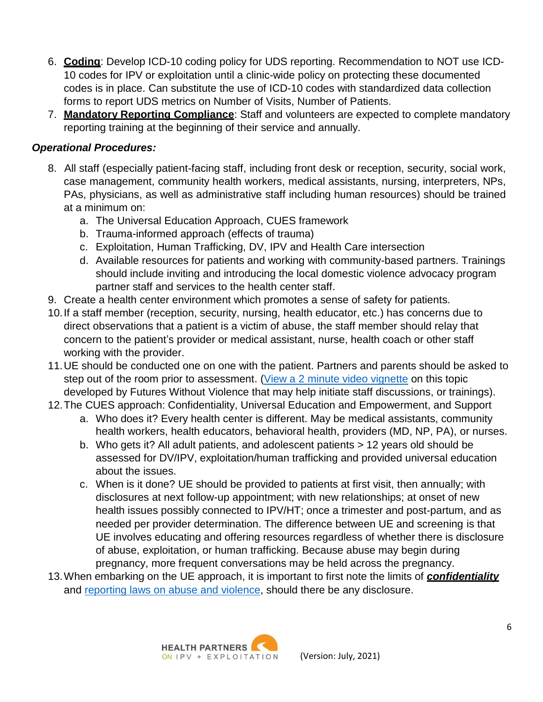- 6. **Coding**: Develop ICD-10 coding policy for UDS reporting. Recommendation to NOT use ICD-10 codes for IPV or exploitation until a clinic-wide policy on protecting these documented codes is in place. Can substitute the use of ICD-10 codes with standardized data collection forms to report UDS metrics on Number of Visits, Number of Patients.
- 7. **Mandatory Reporting Compliance**: Staff and volunteers are expected to complete mandatory reporting training at the beginning of their service and annually.

### *Operational Procedures:*

- 8. All staff (especially patient-facing staff, including front desk or reception, security, social work, case management, community health workers, medical assistants, nursing, interpreters, NPs, PAs, physicians, as well as administrative staff including human resources) should be trained at a minimum on:
	- a. The Universal Education Approach, CUES framework
	- b. Trauma-informed approach (effects of trauma)
	- c. Exploitation, Human Trafficking, DV, IPV and Health Care intersection
	- d. Available resources for patients and working with community-based partners. Trainings should include inviting and introducing the local domestic violence advocacy program partner staff and services to the health center staff.
- 9. Create a health center environment which promotes a sense of safety for patients.
- 10.If a staff member (reception, security, nursing, health educator, etc.) has concerns due to direct observations that a patient is a victim of abuse, the staff member should relay that concern to the patient's provider or medical assistant, nurse, health coach or other staff working with the provider.
- 11.UE should be conducted one on one with the patient. Partners and parents should be asked to step out of the room prior to assessment. (View a 2 minute video [vignette](https://www.youtube.com/watch?v=Mvxem3WwQaY&list=PLaS4Etq3IFrWgqgcKstcBwNiP_j8ZoBYK&index=15) on this topic developed by Futures Without Violence that may help initiate staff discussions, or trainings).
- 12.The CUES approach: Confidentiality, Universal Education and Empowerment, and Support
	- a. Who does it? Every health center is different. May be medical assistants, community health workers, health educators, behavioral health, providers (MD, NP, PA), or nurses.
	- b. Who gets it? All adult patients, and adolescent patients > 12 years old should be assessed for DV/IPV, exploitation/human trafficking and provided universal education about the issues.
	- c. When is it done? UE should be provided to patients at first visit, then annually; with disclosures at next follow-up appointment; with new relationships; at onset of new health issues possibly connected to IPV/HT; once a trimester and post-partum, and as needed per provider determination. The difference between UE and screening is that UE involves educating and offering resources regardless of whether there is disclosure of abuse, exploitation, or human trafficking. Because abuse may begin during pregnancy, more frequent conversations may be held across the pregnancy.
- 13.When embarking on the UE approach, it is important to first note the limits of *confidentiality* and [reporting](https://www.futureswithoutviolence.org/compendium-of-state-statutes-and-policies-on-domestic-violence-and-health-care/) laws on abuse and violence, should there be any disclosure.

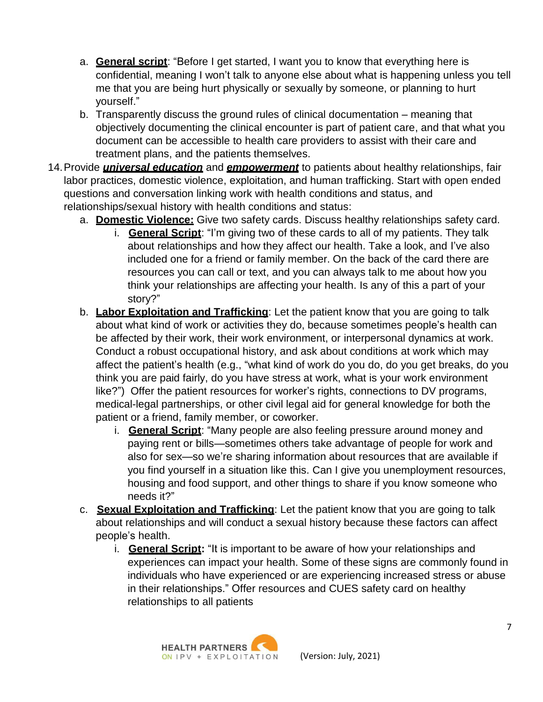- a. **General script**: "Before I get started, I want you to know that everything here is confidential, meaning I won't talk to anyone else about what is happening unless you tell me that you are being hurt physically or sexually by someone, or planning to hurt yourself."
- b. Transparently discuss the ground rules of clinical documentation meaning that objectively documenting the clinical encounter is part of patient care, and that what you document can be accessible to health care providers to assist with their care and treatment plans, and the patients themselves.
- 14.Provide *universal education* and *empowerment* to patients about healthy relationships, fair labor practices, domestic violence, exploitation, and human trafficking. Start with open ended questions and conversation linking work with health conditions and status, and relationships/sexual history with health conditions and status:
	- a. **Domestic Violence:** Give two safety cards. Discuss healthy relationships safety card.
		- i. **General Script**: "I'm giving two of these cards to all of my patients. They talk about relationships and how they affect our health. Take a look, and I've also included one for a friend or family member. On the back of the card there are resources you can call or text, and you can always talk to me about how you think your relationships are affecting your health. Is any of this a part of your story?"
	- b. **Labor Exploitation and Trafficking**: Let the patient know that you are going to talk about what kind of work or activities they do, because sometimes people's health can be affected by their work, their work environment, or interpersonal dynamics at work. Conduct a robust occupational history, and ask about conditions at work which may affect the patient's health (e.g., "what kind of work do you do, do you get breaks, do you think you are paid fairly, do you have stress at work, what is your work environment like?") Offer the patient resources for worker's rights, connections to DV programs, medical-legal partnerships, or other civil legal aid for general knowledge for both the patient or a friend, family member, or coworker.
		- i. **General Script**: "Many people are also feeling pressure around money and paying rent or bills—sometimes others take advantage of people for work and also for sex—so we're sharing information about resources that are available if you find yourself in a situation like this. Can I give you unemployment resources, housing and food support, and other things to share if you know someone who needs it?"
	- c. **Sexual Exploitation and Trafficking**: Let the patient know that you are going to talk about relationships and will conduct a sexual history because these factors can affect people's health.
		- i. **General Script:** "It is important to be aware of how your relationships and experiences can impact your health. Some of these signs are commonly found in individuals who have experienced or are experiencing increased stress or abuse in their relationships." Offer resources and CUES safety card on healthy relationships to all patients

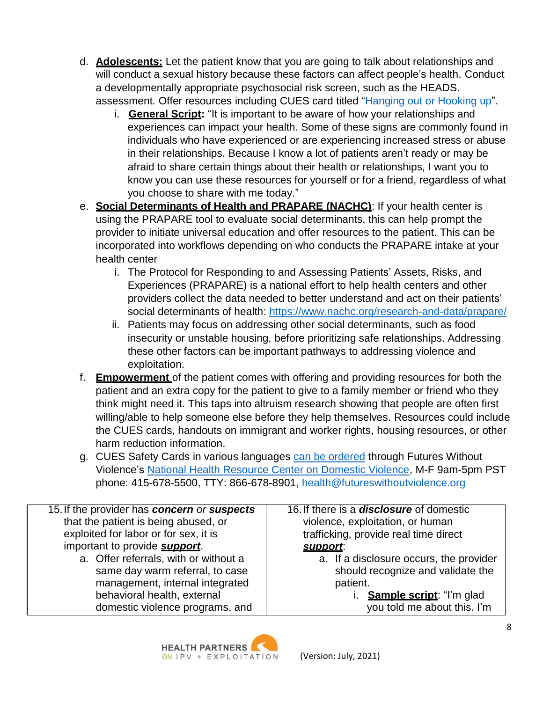- d. **Adolescents:** Let the patient know that you are going to talk about relationships and will conduct a sexual history because these factors can affect people's health. Conduct a developmentally appropriate psychosocial risk screen, such as the HEADS. assessment. Offer resources including CUES card titled "Hanging out [or Hooking](https://www.futureswithoutviolence.org/hanging-out-or-hooking-up-2/#%3A%7E%3Atext%3DFutures%20Without%20Violence%20has%20developed%2Cpreventing%2C%20identifying%20and%20addressing%20adolescent) up".
	- i. **General Script:** "It is important to be aware of how your relationships and experiences can impact your health. Some of these signs are commonly found in individuals who have experienced or are experiencing increased stress or abuse in their relationships. Because I know a lot of patients aren't ready or may be afraid to share certain things about their health or relationships, I want you to know you can use these resources for yourself or for a friend, regardless of what you choose to share with me today."
- e. **Social Determinants of Health and PRAPARE (NACHC)**: If your health center is using the PRAPARE tool to evaluate social determinants, this can help prompt the provider to initiate universal education and offer resources to the patient. This can be incorporated into workflows depending on who conducts the PRAPARE intake at your health center
	- i. The Protocol for Responding to and Assessing Patients' Assets, Risks, and Experiences (PRAPARE) is a national effort to help health centers and other providers collect the data needed to better understand and act on their patients' social determinants of health:<https://www.nachc.org/research-and-data/prapare/>
	- ii. Patients may focus on addressing other social determinants, such as food insecurity or unstable housing, before prioritizing safe relationships. Addressing these other factors can be important pathways to addressing violence and exploitation.
- f. **Empowerment** of the patient comes with offering and providing resources for both the patient and an extra copy for the patient to give to a family member or friend who they think might need it. This taps into altruism research showing that people are often first willing/able to help someone else before they help themselves. Resources could include the CUES cards, handouts on immigrant and worker rights, housing resources, or other harm reduction information.
- g. CUES Safety Cards in various languages can be [ordered](https://store.futureswithoutviolence.org/) through Futures Without Violence's National Health [Resource Center](https://www.futureswithoutviolence.org/health/national-health-resource-center-on-domestic-violence/) on Domestic Violence, M-F 9am-5pm PST phone: 415-678-5500, TTY: 866-678-8901, [health@futureswithoutviolence.org](mailto:health@futureswithoutviolence.org)

| 15. If the provider has concern or suspects | 16. If there is a <b>disclosure</b> of domestic |
|---------------------------------------------|-------------------------------------------------|
| that the patient is being abused, or        | violence, exploitation, or human                |
| exploited for labor or for sex, it is       | trafficking, provide real time direct           |
| important to provide <b>support</b> .       | support.                                        |
|                                             |                                                 |
| a. Offer referrals, with or without a       | a. If a disclosure occurs, the provider         |
| same day warm referral, to case             | should recognize and validate the               |
| management, internal integrated             | patient.                                        |
|                                             |                                                 |
| behavioral health, external                 | i. Sample script: "I'm glad                     |
|                                             |                                                 |
| domestic violence programs, and             | you told me about this. I'm                     |

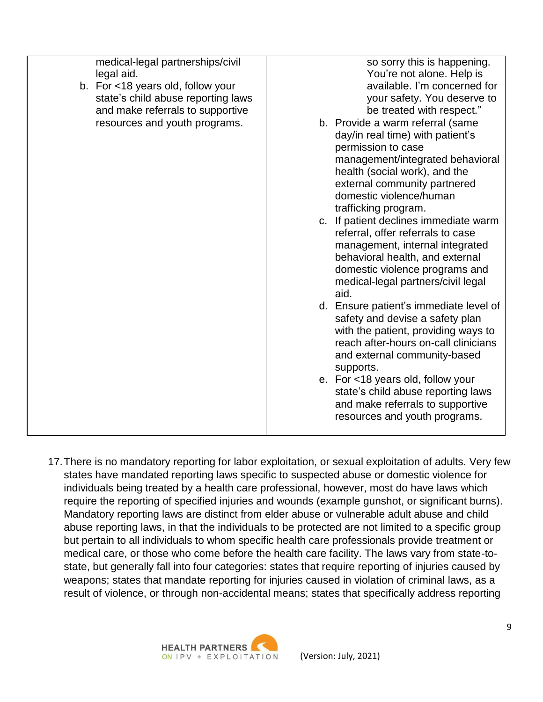| medical-legal partnerships/civil<br>legal aid.<br>b. For <18 years old, follow your<br>state's child abuse reporting laws<br>and make referrals to supportive | so sorry this is happening.<br>You're not alone. Help is<br>available. I'm concerned for<br>your safety. You deserve to<br>be treated with respect."                                                                                               |
|---------------------------------------------------------------------------------------------------------------------------------------------------------------|----------------------------------------------------------------------------------------------------------------------------------------------------------------------------------------------------------------------------------------------------|
| resources and youth programs.                                                                                                                                 | b. Provide a warm referral (same<br>day/in real time) with patient's<br>permission to case<br>management/integrated behavioral<br>health (social work), and the<br>external community partnered<br>domestic violence/human<br>trafficking program. |
|                                                                                                                                                               | c. If patient declines immediate warm<br>referral, offer referrals to case<br>management, internal integrated<br>behavioral health, and external<br>domestic violence programs and<br>medical-legal partners/civil legal<br>aid.                   |
|                                                                                                                                                               | d. Ensure patient's immediate level of<br>safety and devise a safety plan<br>with the patient, providing ways to<br>reach after-hours on-call clinicians<br>and external community-based<br>supports.                                              |
|                                                                                                                                                               | e. For <18 years old, follow your<br>state's child abuse reporting laws<br>and make referrals to supportive<br>resources and youth programs.                                                                                                       |

17.There is no mandatory reporting for labor exploitation, or sexual exploitation of adults. Very few states have mandated reporting laws specific to suspected abuse or domestic violence for individuals being treated by a health care professional, however, most do have laws which require the reporting of specified injuries and wounds (example gunshot, or significant burns). Mandatory reporting laws are distinct from elder abuse or vulnerable adult abuse and child abuse reporting laws, in that the individuals to be protected are not limited to a specific group but pertain to all individuals to whom specific health care professionals provide treatment or medical care, or those who come before the health care facility. The laws vary from state-tostate, but generally fall into four categories: states that require reporting of injuries caused by weapons; states that mandate reporting for injuries caused in violation of criminal laws, as a result of violence, or through non-accidental means; states that specifically address reporting

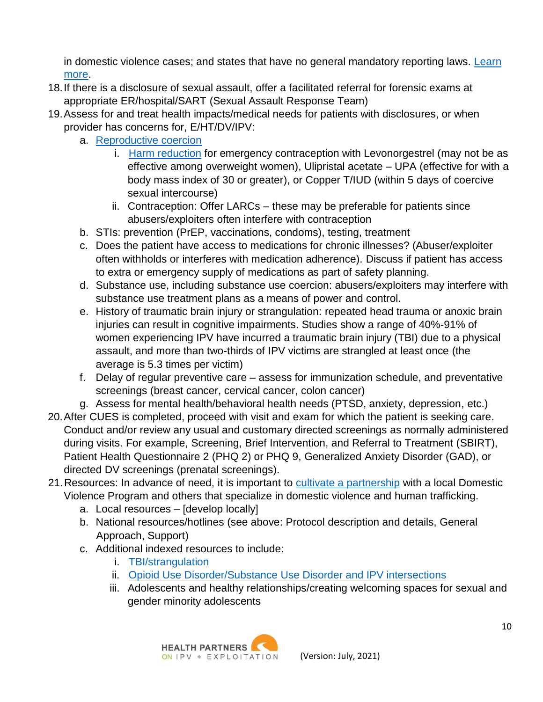in domestic violence cases; and states that have no general mandatory reporting laws. [Learn](https://www.futureswithoutviolence.org/compendium-of-state-statutes-and-policies-on-domestic-violence-and-health-care/) [more.](https://www.futureswithoutviolence.org/compendium-of-state-statutes-and-policies-on-domestic-violence-and-health-care/)

- 18.If there is a disclosure of sexual assault, offer a facilitated referral for forensic exams at appropriate ER/hospital/SART (Sexual Assault Response Team)
- 19.Assess for and treat health impacts/medical needs for patients with disclosures, or when provider has concerns for, E/HT/DV/IPV:
	- a. [Reproductive](https://www.futureswithoutviolence.org/reproductive-sexual-health/) coercion
		- i. Harm [reduction](https://www.acog.org/clinical/clinical-guidance/committee-opinion/articles/2013/02/reproductive-and-sexual-coercion?utm_source=redirect&utm_medium=web&utm_campaign=otn) for emergency contraception with Levonorgestrel (may not be as effective among overweight women), Ulipristal acetate – UPA (effective for with a body mass index of 30 or greater), or Copper T/IUD (within 5 days of coercive sexual intercourse)
		- ii. Contraception: Offer LARCs these may be preferable for patients since abusers/exploiters often interfere with contraception
	- b. STIs: prevention (PrEP, vaccinations, condoms), testing, treatment
	- c. Does the patient have access to medications for chronic illnesses? (Abuser/exploiter often withholds or interferes with medication adherence). Discuss if patient has access to extra or emergency supply of medications as part of safety planning.
	- d. Substance use, including substance use coercion: abusers/exploiters may interfere with substance use treatment plans as a means of power and control.
	- e. History of traumatic brain injury or strangulation: repeated head trauma or anoxic brain injuries can result in cognitive impairments. Studies show a range of 40%-91% of women experiencing IPV have incurred a traumatic brain injury (TBI) due to a physical assault, and more than two-thirds of IPV victims are strangled at least once (the average is 5.3 times per victim)
	- f. Delay of regular preventive care assess for immunization schedule, and preventative screenings (breast cancer, cervical cancer, colon cancer)
	- g. Assess for mental health/behavioral health needs (PTSD, anxiety, depression, etc.)
- 20.After CUES is completed, proceed with visit and exam for which the patient is seeking care. Conduct and/or review any usual and customary directed screenings as normally administered during visits. For example, Screening, Brief Intervention, and Referral to Treatment (SBIRT), Patient Health Questionnaire 2 (PHQ 2) or PHQ 9, Generalized Anxiety Disorder (GAD), or directed DV screenings (prenatal screenings).
- 21.Resources: In advance of need, it is important to cultivate a [partnership](https://ipvhealthpartners.org/partner/) with a local Domestic Violence Program and others that specialize in domestic violence and human trafficking.
	- a. Local resources [develop locally]
	- b. National resources/hotlines (see above: Protocol description and details, General Approach, Support)
	- c. Additional indexed resources to include:
		- i. [TBI/strangulation](https://www.odvn.org/brain-injury/)
		- ii. Opioid Use [Disorder/Substance](http://www.nationalcenterdvtraumamh.org/) Use Disorder and IPV intersections
		- iii. Adolescents and healthy relationships/creating welcoming spaces for sexual and gender minority adolescents

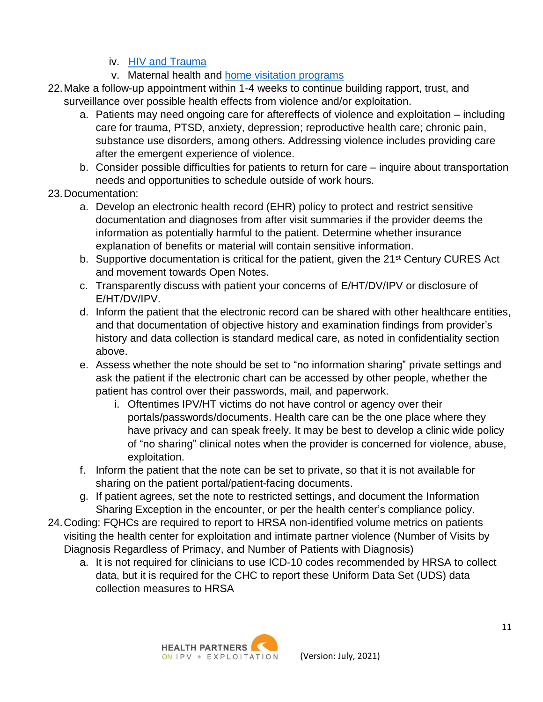## iv. [HIV and](https://www.nastad.org/sites/default/files/resources/docs/nastad_traumatoolkit_06012020.pdf) Trauma

- v. Maternal health and home visitation [programs](https://www.futureswithoutviolence.org/home-visitation/)
- 22.Make a follow-up appointment within 1-4 weeks to continue building rapport, trust, and surveillance over possible health effects from violence and/or exploitation.
	- a. Patients may need ongoing care for aftereffects of violence and exploitation including care for trauma, PTSD, anxiety, depression; reproductive health care; chronic pain, substance use disorders, among others. Addressing violence includes providing care after the emergent experience of violence.
	- b. Consider possible difficulties for patients to return for care inquire about transportation needs and opportunities to schedule outside of work hours.
- 23.Documentation:
	- a. Develop an electronic health record (EHR) policy to protect and restrict sensitive documentation and diagnoses from after visit summaries if the provider deems the information as potentially harmful to the patient. Determine whether insurance explanation of benefits or material will contain sensitive information.
	- b. Supportive documentation is critical for the patient, given the 21<sup>st</sup> Century CURES Act and movement towards Open Notes.
	- c. Transparently discuss with patient your concerns of E/HT/DV/IPV or disclosure of E/HT/DV/IPV.
	- d. Inform the patient that the electronic record can be shared with other healthcare entities, and that documentation of objective history and examination findings from provider's history and data collection is standard medical care, as noted in confidentiality section above.
	- e. Assess whether the note should be set to "no information sharing" private settings and ask the patient if the electronic chart can be accessed by other people, whether the patient has control over their passwords, mail, and paperwork.
		- i. Oftentimes IPV/HT victims do not have control or agency over their portals/passwords/documents. Health care can be the one place where they have privacy and can speak freely. It may be best to develop a clinic wide policy of "no sharing" clinical notes when the provider is concerned for violence, abuse, exploitation.
	- f. Inform the patient that the note can be set to private, so that it is not available for sharing on the patient portal/patient-facing documents.
	- g. If patient agrees, set the note to restricted settings, and document the Information Sharing Exception in the encounter, or per the health center's compliance policy.
- 24.Coding: FQHCs are required to report to HRSA non-identified volume metrics on patients visiting the health center for exploitation and intimate partner violence (Number of Visits by Diagnosis Regardless of Primacy, and Number of Patients with Diagnosis)
	- a. It is not required for clinicians to use ICD-10 codes recommended by HRSA to collect data, but it is required for the CHC to report these Uniform Data Set (UDS) data collection measures to HRSA

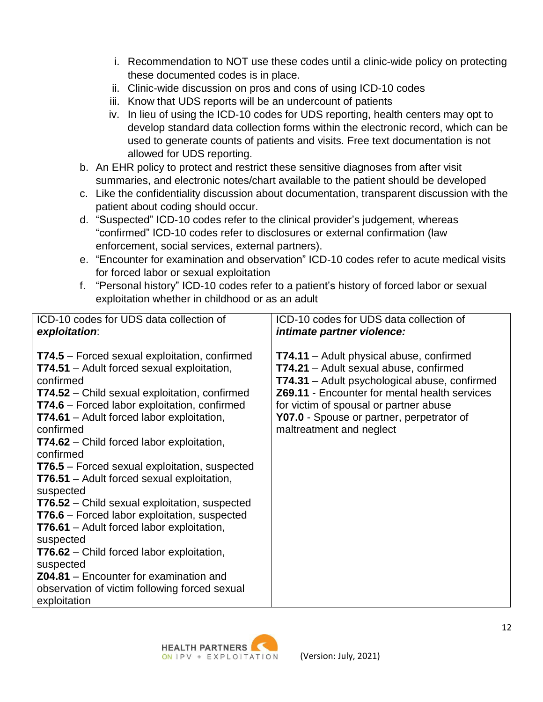- i. Recommendation to NOT use these codes until a clinic-wide policy on protecting these documented codes is in place.
- ii. Clinic-wide discussion on pros and cons of using ICD-10 codes
- iii. Know that UDS reports will be an undercount of patients
- iv. In lieu of using the ICD-10 codes for UDS reporting, health centers may opt to develop standard data collection forms within the electronic record, which can be used to generate counts of patients and visits. Free text documentation is not allowed for UDS reporting.
- b. An EHR policy to protect and restrict these sensitive diagnoses from after visit summaries, and electronic notes/chart available to the patient should be developed
- c. Like the confidentiality discussion about documentation, transparent discussion with the patient about coding should occur.
- d. "Suspected" ICD-10 codes refer to the clinical provider's judgement, whereas "confirmed" ICD-10 codes refer to disclosures or external confirmation (law enforcement, social services, external partners).
- e. "Encounter for examination and observation" ICD-10 codes refer to acute medical visits for forced labor or sexual exploitation
- f. "Personal history" ICD-10 codes refer to a patient's history of forced labor or sexual exploitation whether in childhood or as an adult

| ICD-10 codes for UDS data collection of                                                                                                                                                                                                                                                                                                                                                                                                                                                                                                                                                                                                                                                                                                                                                                                                                       | ICD-10 codes for UDS data collection of                                                                                                                                                                                                                                                                                      |
|---------------------------------------------------------------------------------------------------------------------------------------------------------------------------------------------------------------------------------------------------------------------------------------------------------------------------------------------------------------------------------------------------------------------------------------------------------------------------------------------------------------------------------------------------------------------------------------------------------------------------------------------------------------------------------------------------------------------------------------------------------------------------------------------------------------------------------------------------------------|------------------------------------------------------------------------------------------------------------------------------------------------------------------------------------------------------------------------------------------------------------------------------------------------------------------------------|
| exploitation:                                                                                                                                                                                                                                                                                                                                                                                                                                                                                                                                                                                                                                                                                                                                                                                                                                                 | <i>intimate partner violence:</i>                                                                                                                                                                                                                                                                                            |
| <b>T74.5</b> – Forced sexual exploitation, confirmed<br><b>T74.51</b> – Adult forced sexual exploitation,<br>confirmed<br><b>T74.52</b> – Child sexual exploitation, confirmed<br><b>T74.6</b> – Forced labor exploitation, confirmed<br><b>T74.61</b> – Adult forced labor exploitation,<br>confirmed<br><b>T74.62</b> – Child forced labor exploitation,<br>confirmed<br><b>T76.5</b> – Forced sexual exploitation, suspected<br>T76.51 - Adult forced sexual exploitation,<br>suspected<br><b>T76.52</b> – Child sexual exploitation, suspected<br><b>T76.6</b> – Forced labor exploitation, suspected<br><b>T76.61</b> – Adult forced labor exploitation,<br>suspected<br><b>T76.62</b> – Child forced labor exploitation,<br>suspected<br><b>Z04.81</b> – Encounter for examination and<br>observation of victim following forced sexual<br>exploitation | <b>T74.11</b> – Adult physical abuse, confirmed<br>T74.21 - Adult sexual abuse, confirmed<br><b>T74.31</b> – Adult psychological abuse, confirmed<br><b>Z69.11</b> - Encounter for mental health services<br>for victim of spousal or partner abuse<br>Y07.0 - Spouse or partner, perpetrator of<br>maltreatment and neglect |

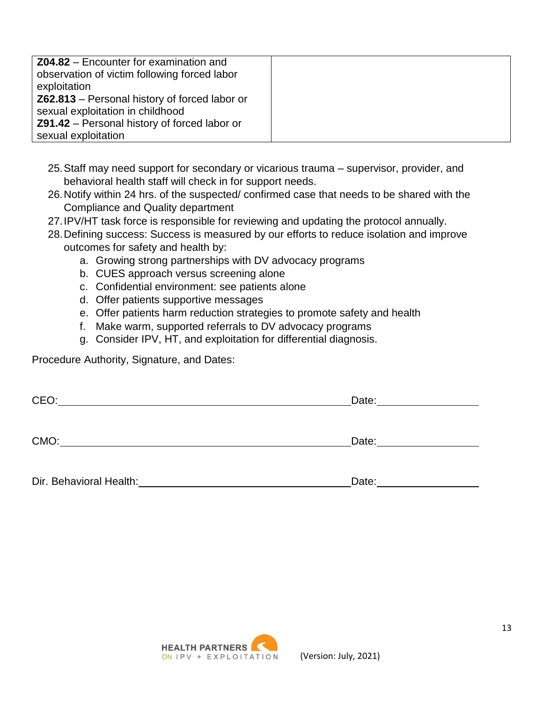| Z04.82 – Encounter for examination and               |  |
|------------------------------------------------------|--|
| observation of victim following forced labor         |  |
| exploitation                                         |  |
| <b>Z62.813</b> – Personal history of forced labor or |  |
| sexual exploitation in childhood                     |  |
| <b>Z91.42</b> – Personal history of forced labor or  |  |
| sexual exploitation                                  |  |

- 25.Staff may need support for secondary or vicarious trauma supervisor, provider, and behavioral health staff will check in for support needs.
- 26.Notify within 24 hrs. of the suspected/ confirmed case that needs to be shared with the Compliance and Quality department
- 27.IPV/HT task force is responsible for reviewing and updating the protocol annually.
- 28.Defining success: Success is measured by our efforts to reduce isolation and improve outcomes for safety and health by:
	- a. Growing strong partnerships with DV advocacy programs
	- b. CUES approach versus screening alone
	- c. Confidential environment: see patients alone
	- d. Offer patients supportive messages
	- e. Offer patients harm reduction strategies to promote safety and health
	- f. Make warm, supported referrals to DV advocacy programs
	- g. Consider IPV, HT, and exploitation for differential diagnosis.

Procedure Authority, Signature, and Dates:

| CEO: | Date: |
|------|-------|
|      |       |
|      |       |
| CMO: | Date: |
|      |       |

Dir. Behavioral Health: Director Contract Contract Contract Contract Contract Contract Contract Contract Contract Contract Contract Contract Contract Contract Contract Contract Contract Contract Contract Contract Contract